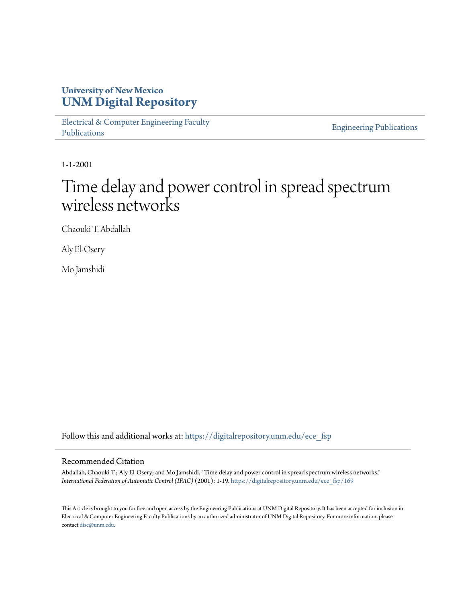#### **University of New Mexico [UNM Digital Repository](https://digitalrepository.unm.edu?utm_source=digitalrepository.unm.edu%2Fece_fsp%2F169&utm_medium=PDF&utm_campaign=PDFCoverPages)**

[Electrical & Computer Engineering Faculty](https://digitalrepository.unm.edu/ece_fsp?utm_source=digitalrepository.unm.edu%2Fece_fsp%2F169&utm_medium=PDF&utm_campaign=PDFCoverPages) [Publications](https://digitalrepository.unm.edu/ece_fsp?utm_source=digitalrepository.unm.edu%2Fece_fsp%2F169&utm_medium=PDF&utm_campaign=PDFCoverPages)

[Engineering Publications](https://digitalrepository.unm.edu/eng_fsp?utm_source=digitalrepository.unm.edu%2Fece_fsp%2F169&utm_medium=PDF&utm_campaign=PDFCoverPages)

1-1-2001

# Time delay and power control in spread spectrum wireless networks

Chaouki T. Abdallah

Aly El-Osery

Mo Jamshidi

Follow this and additional works at: [https://digitalrepository.unm.edu/ece\\_fsp](https://digitalrepository.unm.edu/ece_fsp?utm_source=digitalrepository.unm.edu%2Fece_fsp%2F169&utm_medium=PDF&utm_campaign=PDFCoverPages)

#### Recommended Citation

Abdallah, Chaouki T.; Aly El-Osery; and Mo Jamshidi. "Time delay and power control in spread spectrum wireless networks." *International Federation of Automatic Control (IFAC)* (2001): 1-19. [https://digitalrepository.unm.edu/ece\\_fsp/169](https://digitalrepository.unm.edu/ece_fsp/169?utm_source=digitalrepository.unm.edu%2Fece_fsp%2F169&utm_medium=PDF&utm_campaign=PDFCoverPages)

This Article is brought to you for free and open access by the Engineering Publications at UNM Digital Repository. It has been accepted for inclusion in Electrical & Computer Engineering Faculty Publications by an authorized administrator of UNM Digital Repository. For more information, please contact [disc@unm.edu.](mailto:disc@unm.edu)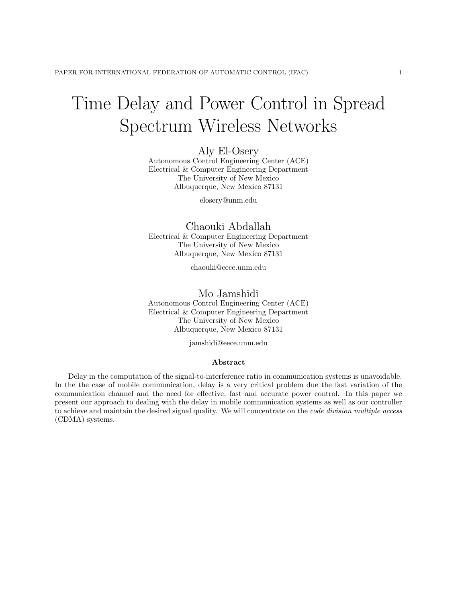# Time Delay and Power Control in Spread Spectrum Wireless Networks

Aly El-Osery

Autonomous Control Engineering Center (ACE) Electrical & Computer Engineering Department The University of New Mexico Albuquerque, New Mexico 87131

elosery@unm.edu

Chaouki Abdallah Electrical & Computer Engineering Department The University of New Mexico Albuquerque, New Mexico 87131

chaouki@eece.unm.edu

#### Mo Jamshidi

Autonomous Control Engineering Center (ACE) Electrical & Computer Engineering Department The University of New Mexico Albuquerque, New Mexico 87131

jamshidi@eece.unm.edu

#### Abstract

Delay in the computation of the signal-to-interference ratio in communication systems is unavoidable. In the the case of mobile communication, delay is a very critical problem due the fast variation of the communication channel and the need for effective, fast and accurate power control. In this paper we present our approach to dealing with the delay in mobile communication systems as well as our controller to achieve and maintain the desired signal quality. We will concentrate on the *code division multiple access* (CDMA) systems.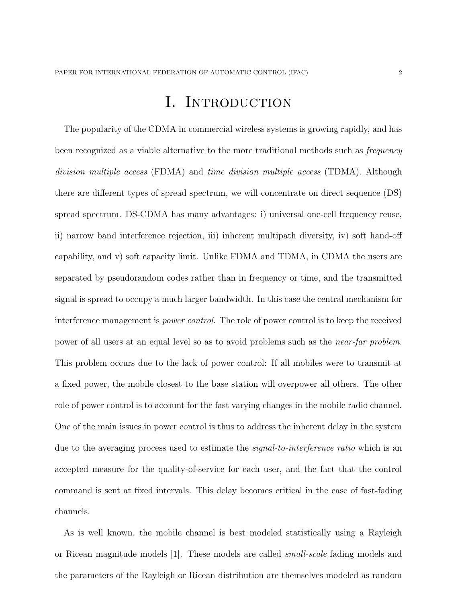# I. INTRODUCTION

The popularity of the CDMA in commercial wireless systems is growing rapidly, and has been recognized as a viable alternative to the more traditional methods such as *frequency* division multiple access (FDMA) and time division multiple access (TDMA). Although there are different types of spread spectrum, we will concentrate on direct sequence (DS) spread spectrum. DS-CDMA has many advantages: i) universal one-cell frequency reuse, ii) narrow band interference rejection, iii) inherent multipath diversity, iv) soft hand-off capability, and v) soft capacity limit. Unlike FDMA and TDMA, in CDMA the users are separated by pseudorandom codes rather than in frequency or time, and the transmitted signal is spread to occupy a much larger bandwidth. In this case the central mechanism for interference management is power control. The role of power control is to keep the received power of all users at an equal level so as to avoid problems such as the near-far problem. This problem occurs due to the lack of power control: If all mobiles were to transmit at a fixed power, the mobile closest to the base station will overpower all others. The other role of power control is to account for the fast varying changes in the mobile radio channel. One of the main issues in power control is thus to address the inherent delay in the system due to the averaging process used to estimate the *signal-to-interference ratio* which is an accepted measure for the quality-of-service for each user, and the fact that the control command is sent at fixed intervals. This delay becomes critical in the case of fast-fading channels.

As is well known, the mobile channel is best modeled statistically using a Rayleigh or Ricean magnitude models [1]. These models are called small-scale fading models and the parameters of the Rayleigh or Ricean distribution are themselves modeled as random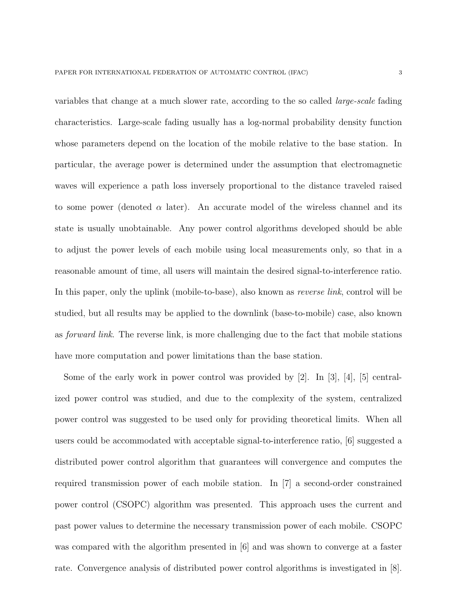variables that change at a much slower rate, according to the so called large-scale fading characteristics. Large-scale fading usually has a log-normal probability density function whose parameters depend on the location of the mobile relative to the base station. In particular, the average power is determined under the assumption that electromagnetic waves will experience a path loss inversely proportional to the distance traveled raised to some power (denoted  $\alpha$  later). An accurate model of the wireless channel and its state is usually unobtainable. Any power control algorithms developed should be able to adjust the power levels of each mobile using local measurements only, so that in a reasonable amount of time, all users will maintain the desired signal-to-interference ratio. In this paper, only the uplink (mobile-to-base), also known as *reverse link*, control will be studied, but all results may be applied to the downlink (base-to-mobile) case, also known as forward link. The reverse link, is more challenging due to the fact that mobile stations have more computation and power limitations than the base station.

Some of the early work in power control was provided by  $[2]$ . In  $[3]$ ,  $[4]$ ,  $[5]$  centralized power control was studied, and due to the complexity of the system, centralized power control was suggested to be used only for providing theoretical limits. When all users could be accommodated with acceptable signal-to-interference ratio, [6] suggested a distributed power control algorithm that guarantees will convergence and computes the required transmission power of each mobile station. In [7] a second-order constrained power control (CSOPC) algorithm was presented. This approach uses the current and past power values to determine the necessary transmission power of each mobile. CSOPC was compared with the algorithm presented in [6] and was shown to converge at a faster rate. Convergence analysis of distributed power control algorithms is investigated in [8].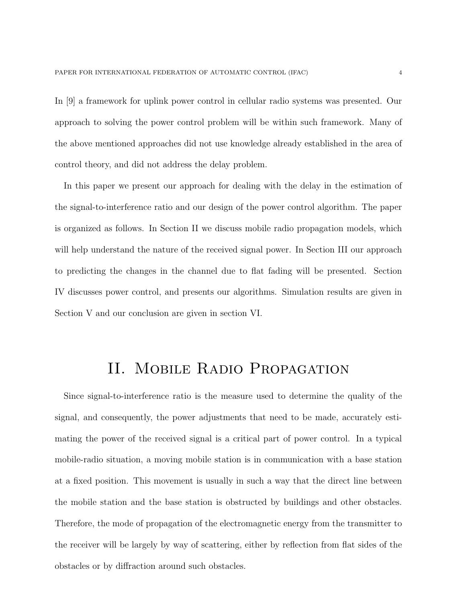In [9] a framework for uplink power control in cellular radio systems was presented. Our approach to solving the power control problem will be within such framework. Many of the above mentioned approaches did not use knowledge already established in the area of control theory, and did not address the delay problem.

In this paper we present our approach for dealing with the delay in the estimation of the signal-to-interference ratio and our design of the power control algorithm. The paper is organized as follows. In Section II we discuss mobile radio propagation models, which will help understand the nature of the received signal power. In Section III our approach to predicting the changes in the channel due to flat fading will be presented. Section IV discusses power control, and presents our algorithms. Simulation results are given in Section V and our conclusion are given in section VI.

# II. Mobile Radio Propagation

Since signal-to-interference ratio is the measure used to determine the quality of the signal, and consequently, the power adjustments that need to be made, accurately estimating the power of the received signal is a critical part of power control. In a typical mobile-radio situation, a moving mobile station is in communication with a base station at a fixed position. This movement is usually in such a way that the direct line between the mobile station and the base station is obstructed by buildings and other obstacles. Therefore, the mode of propagation of the electromagnetic energy from the transmitter to the receiver will be largely by way of scattering, either by reflection from flat sides of the obstacles or by diffraction around such obstacles.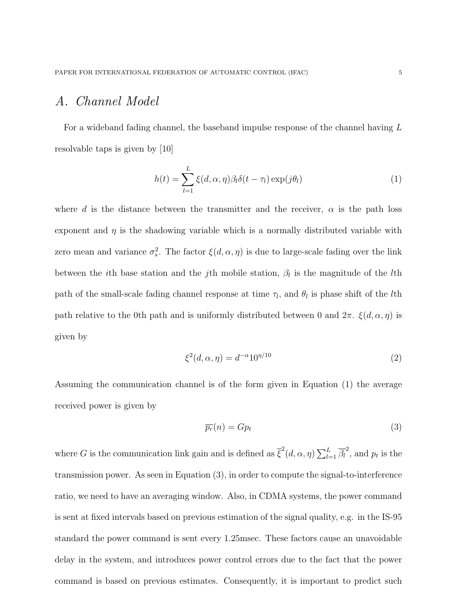#### A. Channel Model

For a wideband fading channel, the baseband impulse response of the channel having L resolvable taps is given by [10]

$$
h(t) = \sum_{l=1}^{L} \xi(d, \alpha, \eta) \beta_l \delta(t - \tau_l) \exp(j\theta_l)
$$
 (1)

where d is the distance between the transmitter and the receiver,  $\alpha$  is the path loss exponent and  $\eta$  is the shadowing variable which is a normally distributed variable with zero mean and variance  $\sigma_s^2$ . The factor  $\xi(d, \alpha, \eta)$  is due to large-scale fading over the link between the *i*th base station and the *j*th mobile station,  $\beta_l$  is the magnitude of the *l*th path of the small-scale fading channel response at time  $\tau_l$ , and  $\theta_l$  is phase shift of the *l*th path relative to the 0th path and is uniformly distributed between 0 and  $2\pi$ .  $\xi(d, \alpha, \eta)$  is given by

$$
\xi^2(d,\alpha,\eta) = d^{-\alpha} 10^{\eta/10} \tag{2}
$$

Assuming the communication channel is of the form given in Equation (1) the average received power is given by

$$
\overline{p_r}(n) = G p_t \tag{3}
$$

where G is the communication link gain and is defined as  $\overline{\xi}^2(d, \alpha, \eta) \sum_{l}^{L}$  $\frac{L}{l=1} \overline{\beta_l}^2$ , and  $p_t$  is the transmission power. As seen in Equation (3), in order to compute the signal-to-interference ratio, we need to have an averaging window. Also, in CDMA systems, the power command is sent at fixed intervals based on previous estimation of the signal quality, e.g. in the IS-95 standard the power command is sent every 1.25msec. These factors cause an unavoidable delay in the system, and introduces power control errors due to the fact that the power command is based on previous estimates. Consequently, it is important to predict such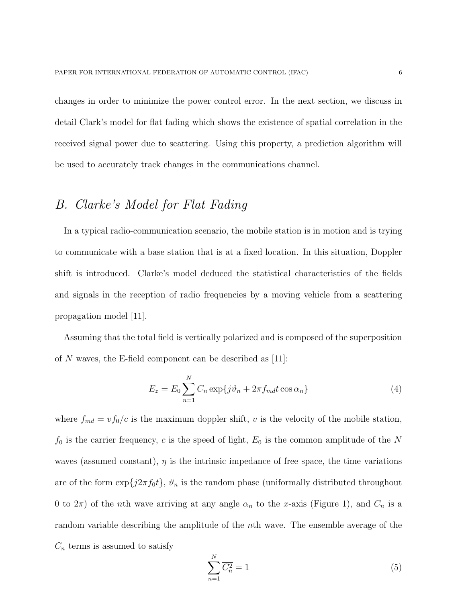changes in order to minimize the power control error. In the next section, we discuss in detail Clark's model for flat fading which shows the existence of spatial correlation in the received signal power due to scattering. Using this property, a prediction algorithm will be used to accurately track changes in the communications channel.

#### B. Clarke's Model for Flat Fading

In a typical radio-communication scenario, the mobile station is in motion and is trying to communicate with a base station that is at a fixed location. In this situation, Doppler shift is introduced. Clarke's model deduced the statistical characteristics of the fields and signals in the reception of radio frequencies by a moving vehicle from a scattering propagation model [11].

Assuming that the total field is vertically polarized and is composed of the superposition of N waves, the E-field component can be described as  $[11]$ :

$$
E_z = E_0 \sum_{n=1}^{N} C_n \exp\{j\vartheta_n + 2\pi f_{md} t \cos \alpha_n\}
$$
 (4)

where  $f_{md} = v f_0/c$  is the maximum doppler shift, v is the velocity of the mobile station,  $f_0$  is the carrier frequency, c is the speed of light,  $E_0$  is the common amplitude of the N waves (assumed constant),  $\eta$  is the intrinsic impedance of free space, the time variations are of the form  $\exp\{j2\pi f_0t\}$ ,  $\vartheta_n$  is the random phase (uniformally distributed throughout 0 to  $2\pi$ ) of the *n*th wave arriving at any angle  $\alpha_n$  to the x-axis (Figure 1), and  $C_n$  is a random variable describing the amplitude of the nth wave. The ensemble average of the  $C_n$  terms is assumed to satisfy

$$
\sum_{n=1}^{N} \overline{C_n^2} = 1\tag{5}
$$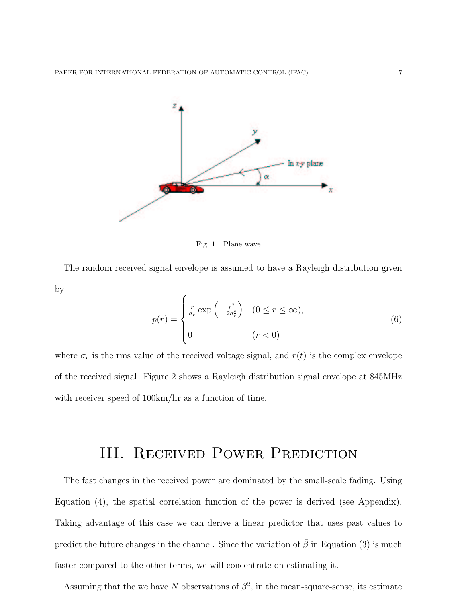

Fig. 1. Plane wave

The random received signal envelope is assumed to have a Rayleigh distribution given by  $\overline{a}$ 

$$
p(r) = \begin{cases} \frac{r}{\sigma_r} \exp\left(-\frac{r^2}{2\sigma_r^2}\right) & (0 \le r \le \infty), \\ 0 & (r < 0) \end{cases}
$$
 (6)

where  $\sigma_r$  is the rms value of the received voltage signal, and  $r(t)$  is the complex envelope of the received signal. Figure 2 shows a Rayleigh distribution signal envelope at 845MHz with receiver speed of  $100 \text{km/hr}$  as a function of time.

## III. RECEIVED POWER PREDICTION

The fast changes in the received power are dominated by the small-scale fading. Using Equation (4), the spatial correlation function of the power is derived (see Appendix). Taking advantage of this case we can derive a linear predictor that uses past values to predict the future changes in the channel. Since the variation of  $\bar{\beta}$  in Equation (3) is much faster compared to the other terms, we will concentrate on estimating it.

Assuming that the we have N observations of  $\beta^2$ , in the mean-square-sense, its estimate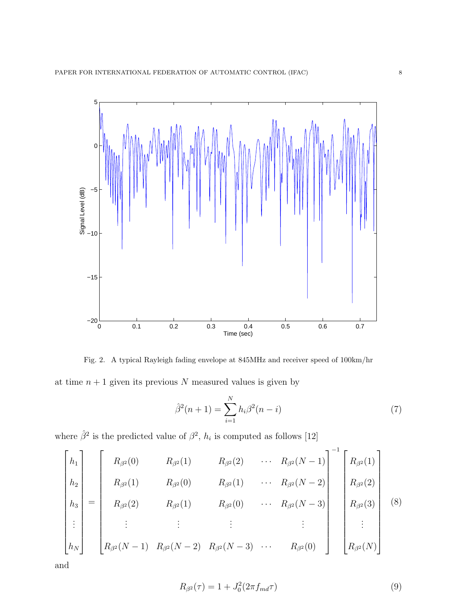

Fig. 2. A typical Rayleigh fading envelope at 845MHz and receiver speed of 100km/hr at time  $n + 1$  given its previous N measured values is given by

$$
\hat{\beta}^2(n+1) = \sum_{i=1}^{N} h_i \beta^2(n-i)
$$
\n(7)

where  $\hat{\beta}^2$  is the predicted value of  $\beta^2$ ,  $h_i$  is computed as follows [12]

$$
\begin{bmatrix} h_1 \ h_2 \ h_3 \ \vdots \ h_N \end{bmatrix} = \begin{bmatrix} R_{\beta^2}(0) & R_{\beta^2}(1) & R_{\beta^2}(2) & \cdots & R_{\beta^2}(N-1) \\ R_{\beta^2}(1) & R_{\beta^2}(0) & R_{\beta^2}(1) & \cdots & R_{\beta^2}(N-2) \\ R_{\beta^2}(2) & R_{\beta^2}(1) & R_{\beta^2}(0) & \cdots & R_{\beta^2}(N-3) \\ \vdots & \vdots & \vdots & \vdots & \vdots \\ R_{\beta^2}(N-1) & R_{\beta^2}(N-2) & R_{\beta^2}(N-3) & \cdots & R_{\beta^2}(0) \end{bmatrix} \begin{bmatrix} R_{\beta^2}(1) \\ R_{\beta^2}(2) \\ R_{\beta^2}(3) \\ \vdots \\ R_{\beta^2}(N) \end{bmatrix}
$$
 (8)

and

$$
R_{\beta^2}(\tau) = 1 + J_0^2 (2\pi f_{md}\tau) \tag{9}
$$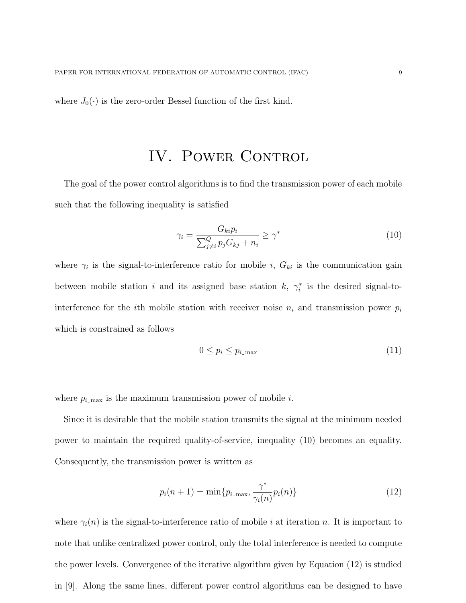where  $J_0(\cdot)$  is the zero-order Bessel function of the first kind.

# IV. POWER CONTROL

The goal of the power control algorithms is to find the transmission power of each mobile such that the following inequality is satisfied

$$
\gamma_i = \frac{G_{ki}p_i}{\sum_{j \neq i}^Q p_j G_{kj} + n_i} \ge \gamma^* \tag{10}
$$

where  $\gamma_i$  is the signal-to-interference ratio for mobile i,  $G_{ki}$  is the communication gain between mobile station i and its assigned base station k,  $\gamma_i^*$  is the desired signal-tointerference for the *i*th mobile station with receiver noise  $n_i$  and transmission power  $p_i$ which is constrained as follows

$$
0 \le p_i \le p_{i\text{-max}} \tag{11}
$$

where  $p_{i_{\text{max}}}$  is the maximum transmission power of mobile i.

Since it is desirable that the mobile station transmits the signal at the minimum needed power to maintain the required quality-of-service, inequality (10) becomes an equality. Consequently, the transmission power is written as

$$
p_i(n+1) = \min\{p_{i\text{-max}}, \frac{\gamma^*}{\gamma_i(n)}p_i(n)\}\tag{12}
$$

where  $\gamma_i(n)$  is the signal-to-interference ratio of mobile i at iteration n. It is important to note that unlike centralized power control, only the total interference is needed to compute the power levels. Convergence of the iterative algorithm given by Equation (12) is studied in [9]. Along the same lines, different power control algorithms can be designed to have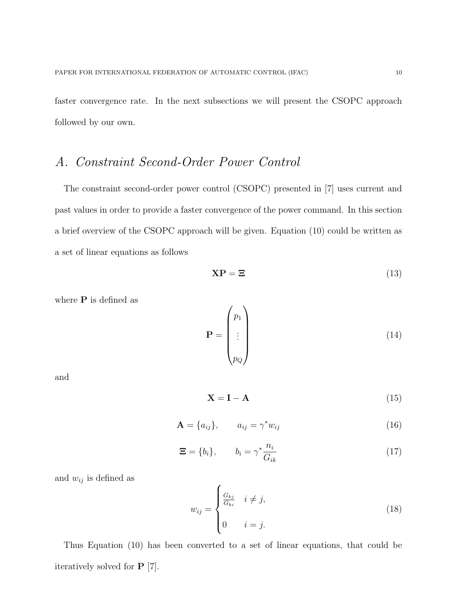faster convergence rate. In the next subsections we will present the CSOPC approach followed by our own.

#### A. Constraint Second-Order Power Control

The constraint second-order power control (CSOPC) presented in [7] uses current and past values in order to provide a faster convergence of the power command. In this section a brief overview of the CSOPC approach will be given. Equation (10) could be written as a set of linear equations as follows

$$
\mathbf{XP} = \mathbf{\Xi} \tag{13}
$$

where  $P$  is defined as

$$
\mathbf{P} = \begin{pmatrix} p_1 \\ \vdots \\ p_Q \end{pmatrix} \tag{14}
$$

and

$$
X = I - A \tag{15}
$$

$$
\mathbf{A} = \{a_{ij}\}, \qquad a_{ij} = \gamma^* w_{ij} \tag{16}
$$

$$
\Xi = \{b_i\}, \qquad b_i = \gamma^* \frac{n_i}{G_{ik}} \tag{17}
$$

and  $w_{ij}$  is defined as

$$
w_{ij} = \begin{cases} \frac{G_{kj}}{G_{ki}} & i \neq j, \\ 0 & i = j. \end{cases} \tag{18}
$$

Thus Equation (10) has been converted to a set of linear equations, that could be iteratively solved for P [7].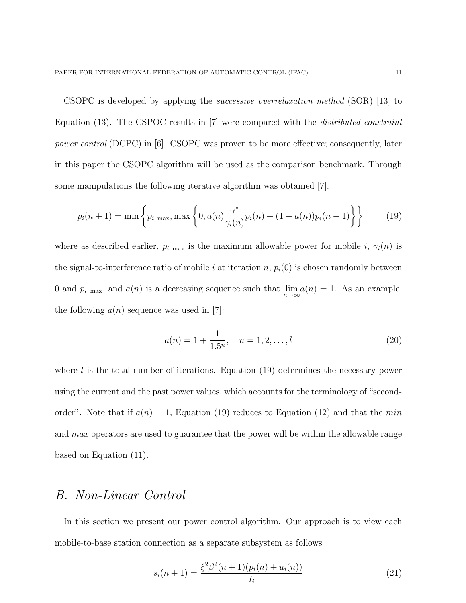CSOPC is developed by applying the successive overrelaxation method (SOR) [13] to Equation (13). The CSPOC results in [7] were compared with the distributed constraint power control (DCPC) in [6]. CSOPC was proven to be more effective; consequently, later in this paper the CSOPC algorithm will be used as the comparison benchmark. Through some manipulations the following iterative algorithm was obtained [7].

$$
p_i(n+1) = \min\left\{p_{i\text{-max}}, \max\left\{0, a(n)\frac{\gamma^*}{\gamma_i(n)}p_i(n) + (1 - a(n))p_i(n-1)\right\}\right\}
$$
(19)

where as described earlier,  $p_{i_{\text{max}}}$  is the maximum allowable power for mobile i,  $\gamma_i(n)$  is the signal-to-interference ratio of mobile i at iteration n,  $p_i(0)$  is chosen randomly between 0 and  $p_{i_{\text{max}}}$ , and  $a(n)$  is a decreasing sequence such that  $\lim_{n\to\infty} a(n) = 1$ . As an example, the following  $a(n)$  sequence was used in [7]:

$$
a(n) = 1 + \frac{1}{1.5^n}, \quad n = 1, 2, \dots, l
$$
\n(20)

where  $l$  is the total number of iterations. Equation (19) determines the necessary power using the current and the past power values, which accounts for the terminology of "secondorder". Note that if  $a(n) = 1$ , Equation (19) reduces to Equation (12) and that the min and *max* operators are used to guarantee that the power will be within the allowable range based on Equation (11).

#### B. Non-Linear Control

In this section we present our power control algorithm. Our approach is to view each mobile-to-base station connection as a separate subsystem as follows

$$
s_i(n+1) = \frac{\xi^2 \beta^2 (n+1)(p_i(n) + u_i(n))}{I_i}
$$
\n(21)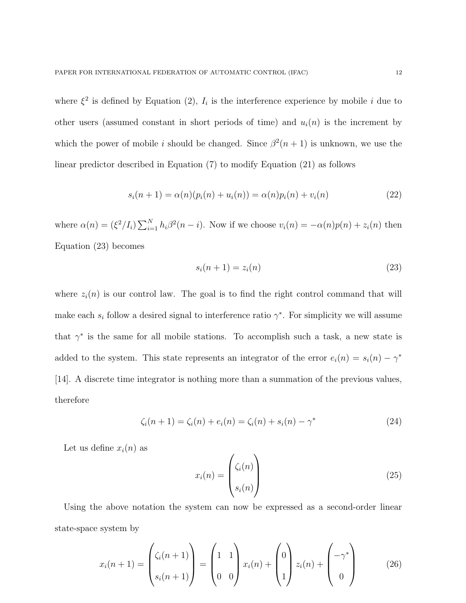where  $\xi^2$  is defined by Equation (2),  $I_i$  is the interference experience by mobile i due to other users (assumed constant in short periods of time) and  $u_i(n)$  is the increment by which the power of mobile i should be changed. Since  $\beta^2(n+1)$  is unknown, we use the linear predictor described in Equation (7) to modify Equation (21) as follows

$$
s_i(n+1) = \alpha(n)(p_i(n) + u_i(n)) = \alpha(n)p_i(n) + v_i(n)
$$
\n(22)

where  $\alpha(n) = (\xi^2/I_i) \sum_{i=1}^N$  $\sum_{i=1}^{N} h_i \beta^2(n-i)$ . Now if we choose  $v_i(n) = -\alpha(n)p(n) + z_i(n)$  then Equation (23) becomes

$$
s_i(n+1) = z_i(n) \tag{23}
$$

where  $z_i(n)$  is our control law. The goal is to find the right control command that will make each  $s_i$  follow a desired signal to interference ratio  $\gamma^*$ . For simplicity we will assume that  $\gamma^*$  is the same for all mobile stations. To accomplish such a task, a new state is added to the system. This state represents an integrator of the error  $e_i(n) = s_i(n) - \gamma^*$ [14]. A discrete time integrator is nothing more than a summation of the previous values, therefore

$$
\zeta_i(n+1) = \zeta_i(n) + e_i(n) = \zeta_i(n) + s_i(n) - \gamma^*
$$
\n(24)

Let us define  $x_i(n)$  as

$$
x_i(n) = \begin{pmatrix} \zeta_i(n) \\ s_i(n) \end{pmatrix}
$$
 (25)

Using the above notation the system can now be expressed as a second-order linear state-space system by

$$
x_i(n+1) = \begin{pmatrix} \zeta_i(n+1) \\ s_i(n+1) \end{pmatrix} = \begin{pmatrix} 1 & 1 \\ 0 & 0 \end{pmatrix} x_i(n) + \begin{pmatrix} 0 \\ 1 \end{pmatrix} z_i(n) + \begin{pmatrix} -\gamma^* \\ 0 \end{pmatrix}
$$
 (26)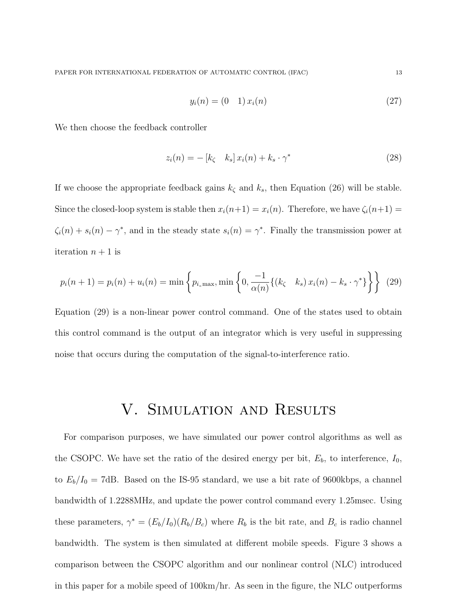$$
y_i(n) = (0 \quad 1) \, x_i(n) \tag{27}
$$

We then choose the feedback controller

$$
z_i(n) = -\begin{bmatrix} k_{\zeta} & k_s \end{bmatrix} x_i(n) + k_s \cdot \gamma^*
$$
\n(28)

If we choose the appropriate feedback gains  $k<sub>\zeta</sub>$  and  $k<sub>s</sub>$ , then Equation (26) will be stable. Since the closed-loop system is stable then  $x_i(n+1) = x_i(n)$ . Therefore, we have  $\zeta_i(n+1) =$  $\zeta_i(n) + s_i(n) - \gamma^*$ , and in the steady state  $s_i(n) = \gamma^*$ . Finally the transmission power at iteration  $n + 1$  is

$$
p_i(n+1) = p_i(n) + u_i(n) = \min\left\{p_{i_{\text{max}}}, \min\left\{0, \frac{-1}{\alpha(n)}\{(k_{\zeta} \mid k_s) x_i(n) - k_s \cdot \gamma^*\}\right\}\right\}
$$
(29)

Equation (29) is a non-linear power control command. One of the states used to obtain this control command is the output of an integrator which is very useful in suppressing noise that occurs during the computation of the signal-to-interference ratio.

### V. Simulation and Results

For comparison purposes, we have simulated our power control algorithms as well as the CSOPC. We have set the ratio of the desired energy per bit,  $E_b$ , to interference,  $I_0$ , to  $E_b/I_0 = 7$ dB. Based on the IS-95 standard, we use a bit rate of 9600kbps, a channel bandwidth of 1.2288MHz, and update the power control command every 1.25msec. Using these parameters,  $\gamma^* = (E_b/I_0)(R_b/B_c)$  where  $R_b$  is the bit rate, and  $B_c$  is radio channel bandwidth. The system is then simulated at different mobile speeds. Figure 3 shows a comparison between the CSOPC algorithm and our nonlinear control (NLC) introduced in this paper for a mobile speed of 100km/hr. As seen in the figure, the NLC outperforms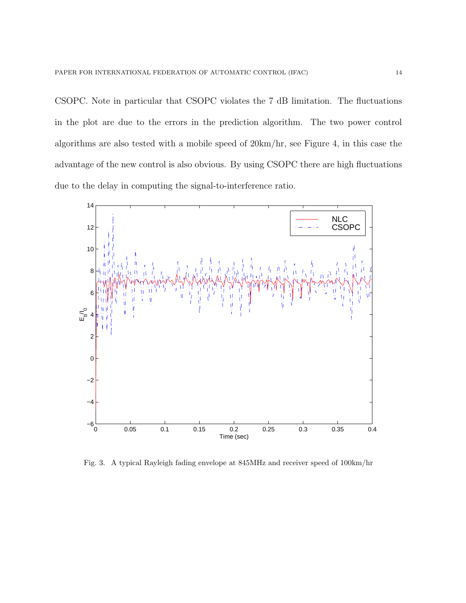CSOPC. Note in particular that CSOPC violates the 7 dB limitation. The fluctuations in the plot are due to the errors in the prediction algorithm. The two power control algorithms are also tested with a mobile speed of 20km/hr, see Figure 4, in this case the advantage of the new control is also obvious. By using CSOPC there are high fluctuations due to the delay in computing the signal-to-interference ratio.



Fig. 3. A typical Rayleigh fading envelope at 845MHz and receiver speed of 100km/hr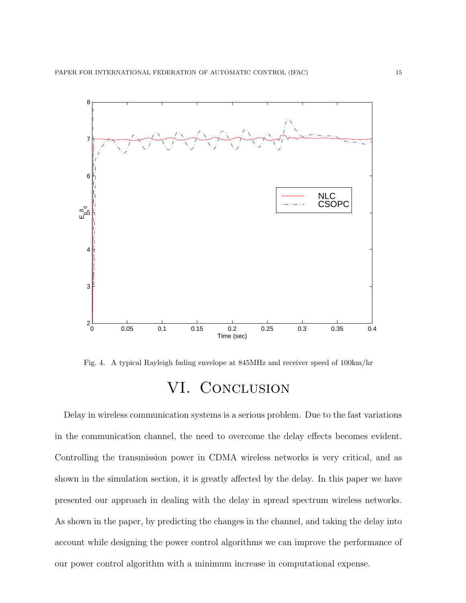

Fig. 4. A typical Rayleigh fading envelope at 845MHz and receiver speed of 100km/hr

# VI. CONCLUSION

Delay in wireless communication systems is a serious problem. Due to the fast variations in the communication channel, the need to overcome the delay effects becomes evident. Controlling the transmission power in CDMA wireless networks is very critical, and as shown in the simulation section, it is greatly affected by the delay. In this paper we have presented our approach in dealing with the delay in spread spectrum wireless networks. As shown in the paper, by predicting the changes in the channel, and taking the delay into account while designing the power control algorithms we can improve the performance of our power control algorithm with a minimum increase in computational expense.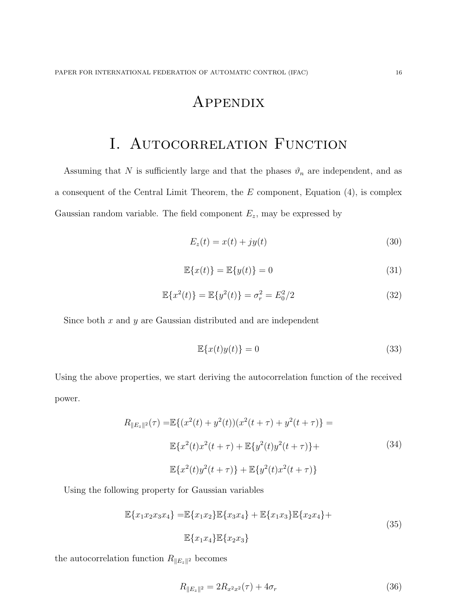### Appendix

# I. AUTOCORRELATION FUNCTION

Assuming that N is sufficiently large and that the phases  $\vartheta_n$  are independent, and as a consequent of the Central Limit Theorem, the  $E$  component, Equation  $(4)$ , is complex Gaussian random variable. The field component  $E_z$ , may be expressed by

$$
E_z(t) = x(t) + jy(t)
$$
\n(30)

$$
\mathbb{E}\{x(t)\} = \mathbb{E}\{y(t)\} = 0\tag{31}
$$

$$
\mathbb{E}\{x^2(t)\} = \mathbb{E}\{y^2(t)\} = \sigma_r^2 = E_0^2/2
$$
\n(32)

Since both  $x$  and  $y$  are Gaussian distributed and are independent

$$
\mathbb{E}\{x(t)y(t)\} = 0\tag{33}
$$

Using the above properties, we start deriving the autocorrelation function of the received power.

$$
R_{\|E_z\|^2}(\tau) = \mathbb{E}\{(x^2(t) + y^2(t))(x^2(t+\tau) + y^2(t+\tau)\}) =
$$
  

$$
\mathbb{E}\{x^2(t)x^2(t+\tau) + \mathbb{E}\{y^2(t)y^2(t+\tau)\} +
$$
  

$$
\mathbb{E}\{x^2(t)y^2(t+\tau)\} + \mathbb{E}\{y^2(t)x^2(t+\tau)\}
$$
 (34)

Using the following property for Gaussian variables

$$
\mathbb{E}\{x_1x_2x_3x_4\} = \mathbb{E}\{x_1x_2\}\mathbb{E}\{x_3x_4\} + \mathbb{E}\{x_1x_3\}\mathbb{E}\{x_2x_4\} + \mathbb{E}\{x_1x_4\}\mathbb{E}\{x_2x_3\}
$$
\n(35)

the autocorrelation function  $R_{\parallel E_z \parallel^2}$  becomes

$$
R_{\|E_z\|^2} = 2R_{x^2x^2}(\tau) + 4\sigma_r \tag{36}
$$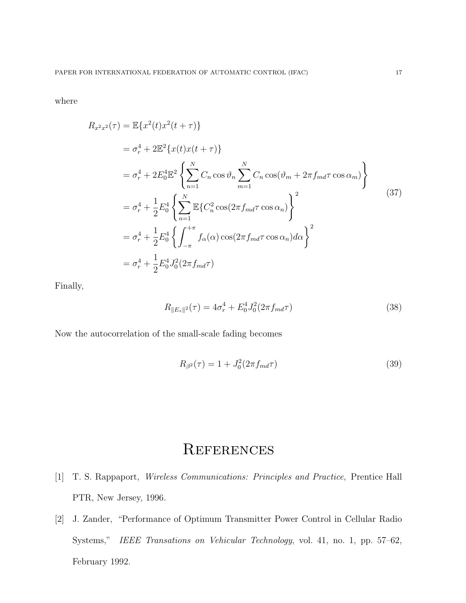where

$$
R_{x^2x^2}(\tau) = \mathbb{E}\{x^2(t)x^2(t+\tau)\}
$$
  
\n
$$
= \sigma_r^4 + 2\mathbb{E}^2\{x(t)x(t+\tau)\}
$$
  
\n
$$
= \sigma_r^4 + 2E_0^4\mathbb{E}^2\left\{\sum_{n=1}^N C_n \cos \vartheta_n \sum_{m=1}^N C_n \cos(\vartheta_m + 2\pi f_{md}\tau \cos \alpha_m)\right\}
$$
  
\n
$$
= \sigma_r^4 + \frac{1}{2}E_0^4\left\{\sum_{n=1}^N \mathbb{E}\{C_n^2 \cos(2\pi f_{md}\tau \cos \alpha_n)\right\}^2
$$
  
\n
$$
= \sigma_r^4 + \frac{1}{2}E_0^4\left\{\int_{-\pi}^{+\pi} f_{\alpha}(\alpha) \cos(2\pi f_{md}\tau \cos \alpha_n) d\alpha\right\}^2
$$
  
\n
$$
= \sigma_r^4 + \frac{1}{2}E_0^4J_0^2(2\pi f_{md}\tau)
$$
 (37)

Finally,

$$
R_{\|E_z\|^2}(\tau) = 4\sigma_r^4 + E_0^4 J_0^2 (2\pi f_{md}\tau) \tag{38}
$$

Now the autocorrelation of the small-scale fading becomes

$$
R_{\beta^2}(\tau) = 1 + J_0^2 (2\pi f_{md}\tau) \tag{39}
$$

# **REFERENCES**

- [1] T. S. Rappaport, Wireless Communications: Principles and Practice, Prentice Hall PTR, New Jersey, 1996.
- [2] J. Zander, "Performance of Optimum Transmitter Power Control in Cellular Radio Systems," IEEE Transations on Vehicular Technology, vol. 41, no. 1, pp. 57–62, February 1992.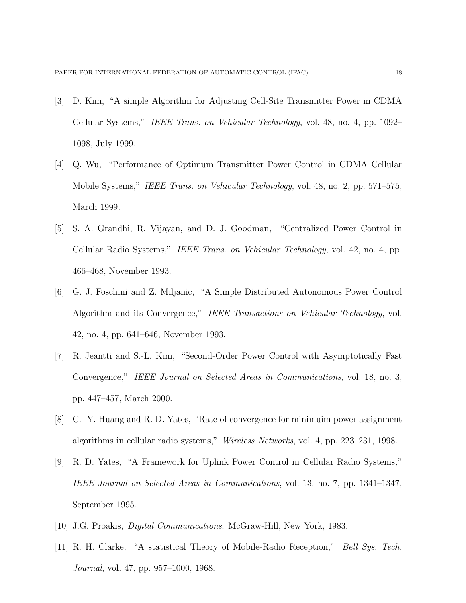- [3] D. Kim, "A simple Algorithm for Adjusting Cell-Site Transmitter Power in CDMA Cellular Systems," IEEE Trans. on Vehicular Technology, vol. 48, no. 4, pp. 1092– 1098, July 1999.
- [4] Q. Wu, "Performance of Optimum Transmitter Power Control in CDMA Cellular Mobile Systems," IEEE Trans. on Vehicular Technology, vol. 48, no. 2, pp. 571–575, March 1999.
- [5] S. A. Grandhi, R. Vijayan, and D. J. Goodman, "Centralized Power Control in Cellular Radio Systems," IEEE Trans. on Vehicular Technology, vol. 42, no. 4, pp. 466–468, November 1993.
- [6] G. J. Foschini and Z. Miljanic, "A Simple Distributed Autonomous Power Control Algorithm and its Convergence," IEEE Transactions on Vehicular Technology, vol. 42, no. 4, pp. 641–646, November 1993.
- [7] R. Jeantti and S.-L. Kim, "Second-Order Power Control with Asymptotically Fast Convergence," IEEE Journal on Selected Areas in Communications, vol. 18, no. 3, pp. 447–457, March 2000.
- [8] C. -Y. Huang and R. D. Yates, "Rate of convergence for minimuim power assignment algorithms in cellular radio systems," Wireless Networks, vol. 4, pp. 223–231, 1998.
- [9] R. D. Yates, "A Framework for Uplink Power Control in Cellular Radio Systems," IEEE Journal on Selected Areas in Communications, vol. 13, no. 7, pp. 1341–1347, September 1995.
- [10] J.G. Proakis, Digital Communications, McGraw-Hill, New York, 1983.
- [11] R. H. Clarke, "A statistical Theory of Mobile-Radio Reception," Bell Sys. Tech. *Journal*, vol. 47, pp. 957–1000, 1968.